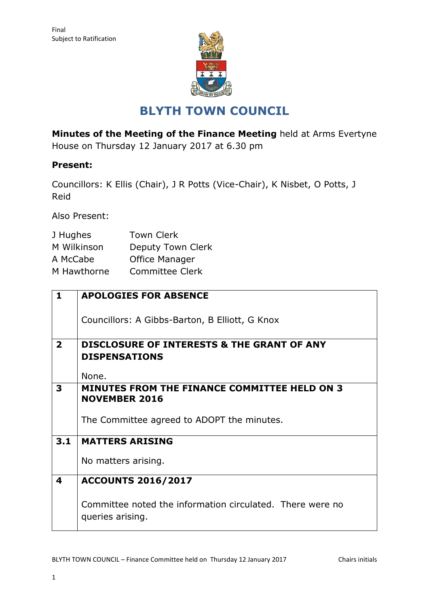

## **BLYTH TOWN COUNCIL**

**Minutes of the Meeting of the Finance Meeting** held at Arms Evertyne House on Thursday 12 January 2017 at 6.30 pm

## **Present:**

Councillors: K Ellis (Chair), J R Potts (Vice-Chair), K Nisbet, O Potts, J Reid

Also Present:

| J Hughes    | <b>Town Clerk</b> |
|-------------|-------------------|
| M Wilkinson | Deputy Town Clerk |
| A McCabe    | Office Manager    |
| M Hawthorne | Committee Clerk   |

| 1              | <b>APOLOGIES FOR ABSENCE</b>                                                  |  |
|----------------|-------------------------------------------------------------------------------|--|
|                | Councillors: A Gibbs-Barton, B Elliott, G Knox                                |  |
| $\overline{2}$ | <b>DISCLOSURE OF INTERESTS &amp; THE GRANT OF ANY</b>                         |  |
|                | <b>DISPENSATIONS</b>                                                          |  |
|                | None.                                                                         |  |
| 3              | <b>MINUTES FROM THE FINANCE COMMITTEE HELD ON 3</b>                           |  |
|                | <b>NOVEMBER 2016</b>                                                          |  |
|                | The Committee agreed to ADOPT the minutes.                                    |  |
| 3.1            | <b>MATTERS ARISING</b>                                                        |  |
|                | No matters arising.                                                           |  |
| 4              | <b>ACCOUNTS 2016/2017</b>                                                     |  |
|                | Committee noted the information circulated. There were no<br>queries arising. |  |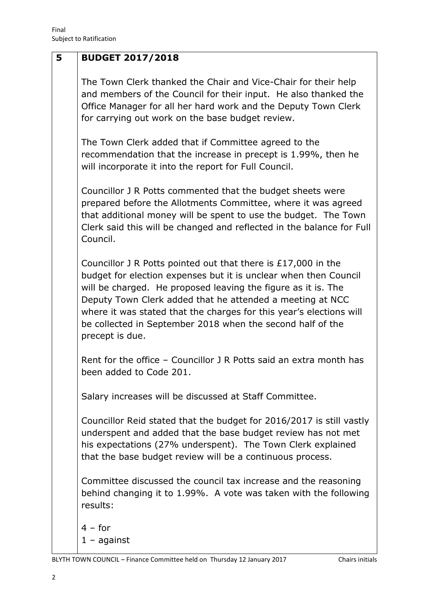| 5 | <b>BUDGET 2017/2018</b>                                                                                                                                                                                                                                                                                                                                                                                                 |
|---|-------------------------------------------------------------------------------------------------------------------------------------------------------------------------------------------------------------------------------------------------------------------------------------------------------------------------------------------------------------------------------------------------------------------------|
|   | The Town Clerk thanked the Chair and Vice-Chair for their help<br>and members of the Council for their input. He also thanked the<br>Office Manager for all her hard work and the Deputy Town Clerk<br>for carrying out work on the base budget review.                                                                                                                                                                 |
|   | The Town Clerk added that if Committee agreed to the<br>recommendation that the increase in precept is 1.99%, then he<br>will incorporate it into the report for Full Council.                                                                                                                                                                                                                                          |
|   | Councillor J R Potts commented that the budget sheets were<br>prepared before the Allotments Committee, where it was agreed<br>that additional money will be spent to use the budget. The Town<br>Clerk said this will be changed and reflected in the balance for Full<br>Council.                                                                                                                                     |
|   | Councillor J R Potts pointed out that there is £17,000 in the<br>budget for election expenses but it is unclear when then Council<br>will be charged. He proposed leaving the figure as it is. The<br>Deputy Town Clerk added that he attended a meeting at NCC<br>where it was stated that the charges for this year's elections will<br>be collected in September 2018 when the second half of the<br>precept is due. |
|   | Rent for the office - Councillor J R Potts said an extra month has<br>been added to Code 201                                                                                                                                                                                                                                                                                                                            |
|   | Salary increases will be discussed at Staff Committee.                                                                                                                                                                                                                                                                                                                                                                  |
|   | Councillor Reid stated that the budget for 2016/2017 is still vastly<br>underspent and added that the base budget review has not met<br>his expectations (27% underspent). The Town Clerk explained<br>that the base budget review will be a continuous process.                                                                                                                                                        |
|   | Committee discussed the council tax increase and the reasoning<br>behind changing it to 1.99%. A vote was taken with the following<br>results:                                                                                                                                                                                                                                                                          |
|   | $4 - for$<br>$1 -$ against                                                                                                                                                                                                                                                                                                                                                                                              |